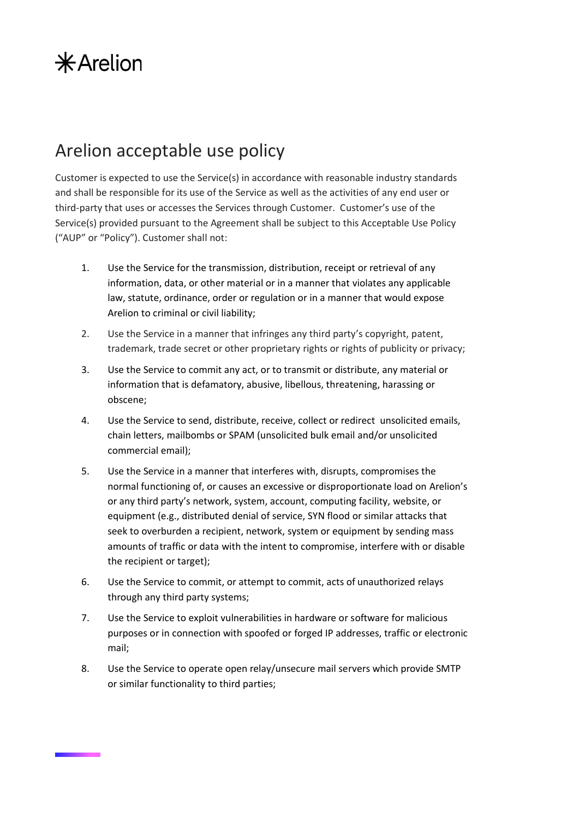## $*$ Arelion

## Arelion acceptable use policy

Customer is expected to use the Service(s) in accordance with reasonable industry standards and shall be responsible for its use of the Service as well as the activities of any end user or third-party that uses or accesses the Services through Customer. Customer's use of the Service(s) provided pursuant to the Agreement shall be subject to this Acceptable Use Policy ("AUP" or "Policy"). Customer shall not:

- 1. Use the Service for the transmission, distribution, receipt or retrieval of any information, data, or other material or in a manner that violates any applicable law, statute, ordinance, order or regulation or in a manner that would expose Arelion to criminal or civil liability;
- 2. Use the Service in a manner that infringes any third party's copyright, patent, trademark, trade secret or other proprietary rights or rights of publicity or privacy;
- 3. Use the Service to commit any act, or to transmit or distribute, any material or information that is defamatory, abusive, libellous, threatening, harassing or obscene;
- 4. Use the Service to send, distribute, receive, collect or redirect unsolicited emails, chain letters, mailbombs or SPAM (unsolicited bulk email and/or unsolicited commercial email);
- 5. Use the Service in a manner that interferes with, disrupts, compromises the normal functioning of, or causes an excessive or disproportionate load on Arelion's or any third party's network, system, account, computing facility, website, or equipment (e.g., distributed denial of service, SYN flood or similar attacks that seek to overburden a recipient, network, system or equipment by sending mass amounts of traffic or data with the intent to compromise, interfere with or disable the recipient or target);
- 6. Use the Service to commit, or attempt to commit, acts of unauthorized relays through any third party systems;
- 7. Use the Service to exploit vulnerabilities in hardware or software for malicious purposes or in connection with spoofed or forged IP addresses, traffic or electronic mail;
- 8. Use the Service to operate open relay/unsecure mail servers which provide SMTP or similar functionality to third parties;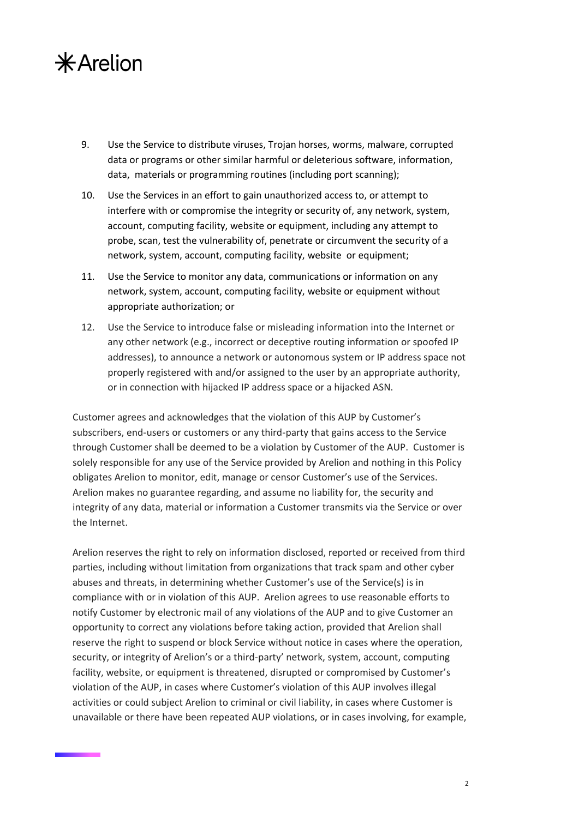## $*$ Arelion

- 9. Use the Service to distribute viruses, Trojan horses, worms, malware, corrupted data or programs or other similar harmful or deleterious software, information, data, materials or programming routines (including port scanning);
- 10. Use the Services in an effort to gain unauthorized access to, or attempt to interfere with or compromise the integrity or security of, any network, system, account, computing facility, website or equipment, including any attempt to probe, scan, test the vulnerability of, penetrate or circumvent the security of a network, system, account, computing facility, website or equipment;
- 11. Use the Service to monitor any data, communications or information on any network, system, account, computing facility, website or equipment without appropriate authorization; or
- 12. Use the Service to introduce false or misleading information into the Internet or any other network (e.g., incorrect or deceptive routing information or spoofed IP addresses), to announce a network or autonomous system or IP address space not properly registered with and/or assigned to the user by an appropriate authority, or in connection with hijacked IP address space or a hijacked ASN.

Customer agrees and acknowledges that the violation of this AUP by Customer's subscribers, end-users or customers or any third-party that gains access to the Service through Customer shall be deemed to be a violation by Customer of the AUP. Customer is solely responsible for any use of the Service provided by Arelion and nothing in this Policy obligates Arelion to monitor, edit, manage or censor Customer's use of the Services. Arelion makes no guarantee regarding, and assume no liability for, the security and integrity of any data, material or information a Customer transmits via the Service or over the Internet.

Arelion reserves the right to rely on information disclosed, reported or received from third parties, including without limitation from organizations that track spam and other cyber abuses and threats, in determining whether Customer's use of the Service(s) is in compliance with or in violation of this AUP. Arelion agrees to use reasonable efforts to notify Customer by electronic mail of any violations of the AUP and to give Customer an opportunity to correct any violations before taking action, provided that Arelion shall reserve the right to suspend or block Service without notice in cases where the operation, security, or integrity of Arelion's or a third-party' network, system, account, computing facility, website, or equipment is threatened, disrupted or compromised by Customer's violation of the AUP, in cases where Customer's violation of this AUP involves illegal activities or could subject Arelion to criminal or civil liability, in cases where Customer is unavailable or there have been repeated AUP violations, or in cases involving, for example,